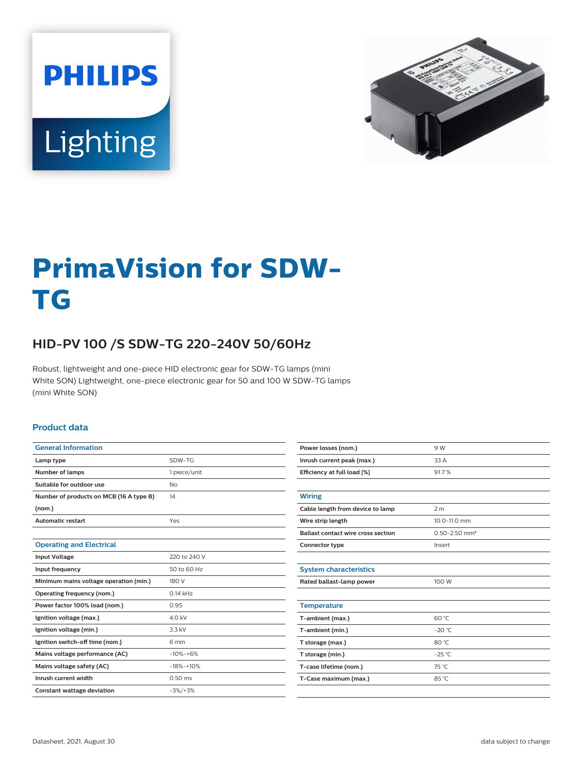



# **PrimaVision for SDW-TG**

## **HID-PV 100 /S SDW-TG 220-240V 50/60Hz**

Robust, lightweight and one-piece HID electronic gear for SDW-TG lamps (mini White SON) Lightweight, one-piece electronic gear for 50 and 100 W SDW-TG lamps (mini White SON)

#### **Product data**

| SDW-TG       |
|--------------|
| 1 piece/unit |
| <b>No</b>    |
| 14           |
|              |
| Yes          |
|              |
|              |
| 220 to 240 V |
| 50 to 60 Hz  |
| 180 V        |
| $0.14$ kHz   |
| 0.95         |
| 4.0 kV       |
| 3.3 kV       |
| 6 min        |
| $-10% + 6%$  |
| $-18% + 10%$ |
| $0.50$ ms    |
| $-3\%/+3\%$  |
|              |

| Power losses (nom.)                       | 9 W                           |  |  |  |
|-------------------------------------------|-------------------------------|--|--|--|
| Inrush current peak (max.)                | 33 A                          |  |  |  |
| Efficiency at full load [%]               | 91.7%                         |  |  |  |
|                                           |                               |  |  |  |
| <b>Wiring</b>                             |                               |  |  |  |
| Cable length from device to lamp          | 2 <sub>m</sub>                |  |  |  |
| Wire strip length                         | 10.0-11.0 mm                  |  |  |  |
| <b>Ballast contact wire cross section</b> | $0.50 - 2.50$ mm <sup>2</sup> |  |  |  |
| Connector type                            | Insert                        |  |  |  |
|                                           |                               |  |  |  |
| <b>System characteristics</b>             |                               |  |  |  |
| Rated ballast-lamp power                  | 100 W                         |  |  |  |
|                                           |                               |  |  |  |
| <b>Temperature</b>                        |                               |  |  |  |
| T-ambient (max.)                          | 60 °C                         |  |  |  |
| T-ambient (min.)                          | $-20 °C$                      |  |  |  |
| T storage (max.)                          | 80 °C                         |  |  |  |
| T storage (min.)                          | $-25^{\circ}$ C               |  |  |  |
| T-case lifetime (nom.)                    | 75 °C                         |  |  |  |
| T-Case maximum (max.)                     | 85 °C                         |  |  |  |
|                                           |                               |  |  |  |